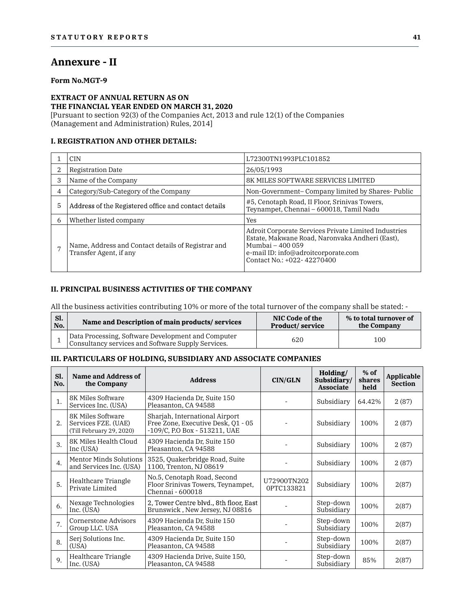# Annexure - II

## Form No.MGT-9

### EXTRACT OF ANNUAL RETURN AS ON THE FINANCIAL YEAR ENDED ON MARCH 31, 2020

### I. REGISTRATION AND OTHER DETAILS:

|   | AIIIICAUI C = II                                                                                                                                                                                                                                                          |                                                                                                                                                                                                  |  |
|---|---------------------------------------------------------------------------------------------------------------------------------------------------------------------------------------------------------------------------------------------------------------------------|--------------------------------------------------------------------------------------------------------------------------------------------------------------------------------------------------|--|
|   | <b>Form No.MGT-9</b>                                                                                                                                                                                                                                                      |                                                                                                                                                                                                  |  |
|   | <b>EXTRACT OF ANNUAL RETURN AS ON</b><br>THE FINANCIAL YEAR ENDED ON MARCH 31, 2020<br>[Pursuant to section 92(3) of the Companies Act, 2013 and rule 12(1) of the Companies<br>(Management and Administration) Rules, 2014]<br><b>I. REGISTRATION AND OTHER DETAILS:</b> |                                                                                                                                                                                                  |  |
|   | <b>CIN</b>                                                                                                                                                                                                                                                                | L72300TN1993PLC101852                                                                                                                                                                            |  |
| 2 | Registration Date                                                                                                                                                                                                                                                         | 26/05/1993                                                                                                                                                                                       |  |
| 3 | Name of the Company                                                                                                                                                                                                                                                       | <b>8K MILES SOFTWARE SERVICES LIMITED</b>                                                                                                                                                        |  |
| 4 | Category/Sub-Category of the Company                                                                                                                                                                                                                                      | Non-Government-Company limited by Shares-Public                                                                                                                                                  |  |
| 5 | Address of the Registered office and contact details                                                                                                                                                                                                                      | #5, Cenotaph Road, II Floor, Srinivas Towers,<br>Teynampet, Chennai - 600018, Tamil Nadu                                                                                                         |  |
| 6 | Whether listed company                                                                                                                                                                                                                                                    | <b>Yes</b>                                                                                                                                                                                       |  |
| 7 | Name, Address and Contact details of Registrar and<br>Transfer Agent, if any                                                                                                                                                                                              | Adroit Corporate Services Private Limited Industries<br>Estate, Makwane Road, Naronvaka Andheri (East),<br>Mumbai - 400 059<br>e-mail ID: info@adroitcorporate.com<br>Contact No.: +022-42270400 |  |

### II. PRINCIPAL BUSINESS ACTIVITIES OF THE COMPANY

| Transfer Agent, if any | Name, Address and Contact details of Registrar and                                                                                                               | Mumbai – 400 059<br>e-mail ID: info@adroitcorporate.com<br>Contact No.: +022-42270400 |                                       |
|------------------------|------------------------------------------------------------------------------------------------------------------------------------------------------------------|---------------------------------------------------------------------------------------|---------------------------------------|
|                        | II. PRINCIPAL BUSINESS ACTIVITIES OF THE COMPANY<br>All the business activities contributing 10% or more of the total turnover of the company shall be stated: - |                                                                                       |                                       |
| Sl.<br>No.             | Name and Description of main products/services                                                                                                                   | NIC Code of the<br><b>Product/service</b>                                             | % to total turnover of<br>the Company |
|                        | Data Processing, Software Development and Computer<br>Consultancy services and Software Supply Services.                                                         | 620                                                                                   | 100                                   |

# III. PARTICULARS OF HOLDING, SUBSIDIARY AND ASSOCIATE COMPANIES

| Sl.<br>No.       |                                                                      | Name and Description of main products/services                                                           | NIC Code of the<br>Product/service |                                             | the Company              | % to total turnover of       |
|------------------|----------------------------------------------------------------------|----------------------------------------------------------------------------------------------------------|------------------------------------|---------------------------------------------|--------------------------|------------------------------|
| $\mathbf{1}$     |                                                                      | Data Processing, Software Development and Computer<br>Consultancy services and Software Supply Services. | 620                                |                                             | 100                      |                              |
|                  |                                                                      | III. PARTICULARS OF HOLDING, SUBSIDIARY AND ASSOCIATE COMPANIES                                          |                                    |                                             |                          |                              |
| Sl.<br>No.       | Name and Address of<br>the Company                                   | <b>Address</b>                                                                                           | CIN/GLN                            | Holding/<br>Subsidiary/<br><b>Associate</b> | $%$ of<br>shares<br>held | Applicable<br><b>Section</b> |
| 1.               | 8K Miles Software<br>Services Inc. (USA)                             | 4309 Hacienda Dr, Suite 150<br>Pleasanton, CA 94588                                                      |                                    | Subsidiary                                  | 64.42%                   | 2(87)                        |
| 2.               | 8K Miles Software<br>Services FZE. (UAE)<br>(Till February 29, 2020) | Shariah, International Airport<br>Free Zone, Executive Desk, 01 - 05<br>-109/C, P.O Box - 513211, UAE    |                                    | Subsidiary                                  | 100%                     | 2(87)                        |
| 3.               | 8K Miles Health Cloud<br>Inc (USA)                                   | 4309 Hacienda Dr, Suite 150<br>Pleasanton, CA 94588                                                      |                                    | Subsidiary                                  | 100%                     | 2(87)                        |
| $\overline{4}$ . | Mentor Minds Solutions<br>and Services Inc. (USA)                    | 3525, Ouakerbridge Road, Suite<br>1100, Trenton, NJ 08619                                                |                                    | Subsidiary                                  | 100%                     | 2(87)                        |
| 5.               | Healthcare Triangle<br>Private Limited                               | No.5, Cenotaph Road, Second<br>Floor Srinivas Towers, Teynampet,<br>Chennai - 600018                     | U72900TN202<br>0PTC133821          | Subsidiary                                  | 100%                     | 2(87)                        |
| 6.               | Nexage Technologies<br>Inc. (USA)                                    | 2. Tower Centre blyd 8th floor, East<br>Brunswick, New Jersey, NJ 08816                                  |                                    | Step-down<br>Subsidiary                     | 100%                     | 2(87)                        |
| 7.               | <b>Cornerstone Advisors</b><br>Group LLC. USA                        | 4309 Hacienda Dr. Suite 150<br>Pleasanton, CA 94588                                                      |                                    | Step-down<br>Subsidiary                     | 100%                     | 2(87)                        |
| 8.               | Serj Solutions Inc.<br>(USA)                                         | 4309 Hacienda Dr, Suite 150<br>Pleasanton, CA 94588                                                      |                                    | Step-down<br>Subsidiary                     | 100%                     | 2(87)                        |
| 9.               | Healthcare Triangle<br>Inc. (USA)                                    | 4309 Hacienda Drive, Suite 150,<br>Pleasanton, CA 94588                                                  |                                    | Step-down<br>Subsidiary                     | 85%                      | 2(87)                        |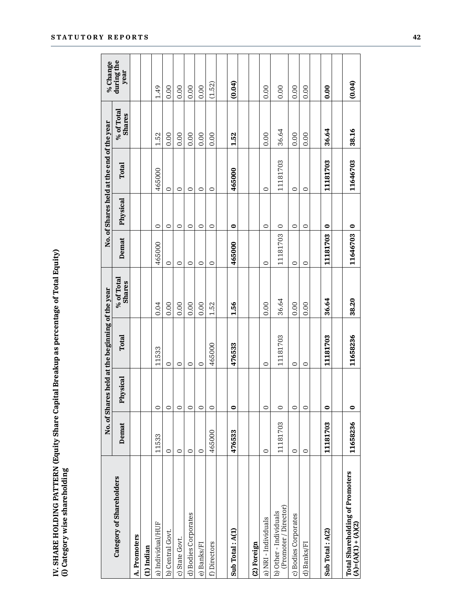| mm ac naroantan.<br>í<br>こくく<br>i<br><b>Contract Contract Contract Light Contract</b><br>ة<br>ا<br>; |
|------------------------------------------------------------------------------------------------------|
|------------------------------------------------------------------------------------------------------|

|                                                        |          |           | No. of Shares held at the beginning of the year |                             |          | No. of Shares held at the end of the year |                             | % Change           |
|--------------------------------------------------------|----------|-----------|-------------------------------------------------|-----------------------------|----------|-------------------------------------------|-----------------------------|--------------------|
| Category of Shareholders                               | Demat    | Physical  | <b>Total</b>                                    | % of Total<br><b>Shares</b> | Demat    | <b>Total</b><br>Physical                  | % of Total<br><b>Shares</b> | during the<br>year |
| A. Promoters                                           |          |           |                                                 |                             |          |                                           |                             |                    |
| $(1)$ Indian                                           |          |           |                                                 |                             |          |                                           |                             |                    |
| a) Individual/HUF                                      | 11533    | $\circ$   | 11533                                           | 0.04                        | 465000   | 465000<br>$\circ$                         | 1.52                        | 1.49               |
| b) Central Govt.                                       | $\circ$  | $\circ$   | $\circ$                                         | 0.00                        | $\circ$  | $\circ$<br>$\circ$                        | 0.00                        | 0.00               |
| c) State Govt.                                         | $\circ$  | $\circ$   | $\circ$                                         | 0.00                        | $\circ$  | $\circ$<br>$\circ$                        | 0.00                        | 0.00               |
| d) Bodies Corporates                                   | $\circ$  | $\circ$   | $\circ$                                         | 0.00                        | $\circ$  | $\circ$<br>$\circ$                        | 0.00                        | 0.00               |
| e) Banks/FI                                            | $\circ$  | $\circ$   | $\circ$                                         | 0.00                        | $\circ$  | $\circ$<br>$\circ$                        | 0.00                        | 0.00               |
| f) Directors                                           | 465000   | $\circ$   | 465000                                          | 1.52                        | $\circ$  | $\circ$<br>$\circ$                        | 0.00                        | (1.52)             |
|                                                        |          |           |                                                 |                             |          |                                           |                             |                    |
| Sub Total: A(1)                                        | 476533   | $\bullet$ | 476533                                          | 1.56                        | 465000   | 465000<br>$\bullet$                       | 1.52                        | (0.04)             |
|                                                        |          |           |                                                 |                             |          |                                           |                             |                    |
| (2) Foreign                                            |          |           |                                                 |                             |          |                                           |                             |                    |
| a) NRI - Individuals                                   | $\circ$  | $\circ$   | $\circ$                                         | 0.00                        | $\circ$  | $\circ$<br>$\circ$                        | 0.00                        | 0.00               |
| (Promoter / Director)<br>b) Other - Individuals        | 11181703 | $\circ$   | 11181703                                        | 36.64                       | 11181703 | 11181703<br>$\circ$                       | 36.64                       | 0.00               |
| c) Bodies Corporates                                   | $\circ$  | $\circ$   | $\circ$                                         | 0.00                        | $\circ$  | $\circ$<br>$\circ$                        | 0.00                        | 0.00               |
| d) Banks/FI                                            | $\circ$  | $\circ$   | $\circ$                                         | 0.00                        | $\circ$  | $\circ$<br>$\circ$                        | 0.00                        | 0.00               |
|                                                        |          |           |                                                 |                             |          |                                           |                             |                    |
| Sub Total: A(2)                                        | 11181703 | $\bullet$ | 11181703                                        | 36.64                       | 11181703 | 11181703<br>$\bullet$                     | 36.64                       | 0.00               |
|                                                        |          |           |                                                 |                             |          |                                           |                             |                    |
| Total Shareholding of Promoters<br>(A)=(A)(1) + (A)(2) | 11658236 | $\bullet$ | 11658236                                        | 38.20                       | 11646703 | 11646703<br>$\bullet$                     | 38.16                       | (0.04)             |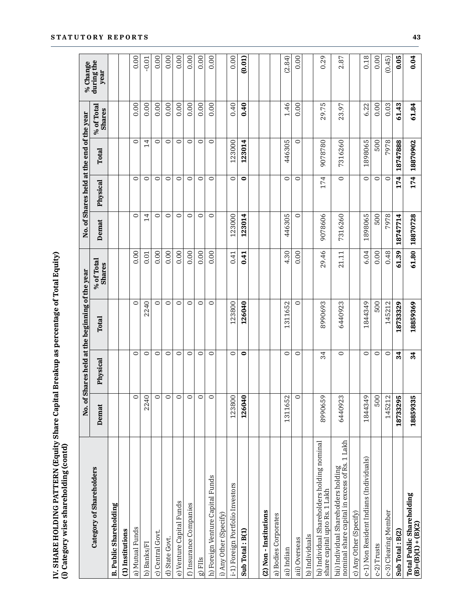| : SHARE HOLDING PATTERN (Equity Share Capital Breakup as percentage of Total Ec |                                                            |
|---------------------------------------------------------------------------------|------------------------------------------------------------|
| יש בשם במטי של                                                                  |                                                            |
|                                                                                 |                                                            |
|                                                                                 |                                                            |
|                                                                                 |                                                            |
|                                                                                 | .<br>.<br>.<br>.<br>.<br>.<br>.<br>.<br>.<br><b>111151</b> |
|                                                                                 | י<br>ו                                                     |
|                                                                                 | $\frac{1}{2}$                                              |

|                                                                                       |          |           | No. of Shares held at the beginning of the | e year               |                | No. of Shares held at the end of the year |                |                             | % Change           |
|---------------------------------------------------------------------------------------|----------|-----------|--------------------------------------------|----------------------|----------------|-------------------------------------------|----------------|-----------------------------|--------------------|
| Category of Shareholders                                                              | Demat    | Physical  | <b>Total</b>                               | % of Total<br>Shares | Demat          | Physical                                  | Total          | % of Total<br><b>Shares</b> | during the<br>year |
| <b>B. Public Shareholding</b>                                                         |          |           |                                            |                      |                |                                           |                |                             |                    |
| (1) Institutions                                                                      |          |           |                                            |                      |                |                                           |                |                             |                    |
| a) Mutual Funds                                                                       | $\circ$  | $\circ$   | $\circ$                                    | 0.00                 | $\circ$        | $\circ$                                   | $\circ$        | 0.00                        | 0.00               |
| b) Banks/FI                                                                           | 2240     | $\circ$   | 2240                                       | 0.01                 | $\overline{1}$ | $\circ$                                   | $\overline{4}$ | 0.00                        | $-0.01$            |
| c) Central Govt.                                                                      | $\circ$  | $\circ$   | $\circ$                                    | 0.00                 | $\circ$        | $\circ$                                   | $\circ$        | 0.00                        | 0.00               |
| d) State Govt.                                                                        | $\circ$  | $\circ$   | $\circ$                                    | 0.00                 | $\circ$        | $\circ$                                   | $\circ$        | 0.00                        | 0.00               |
| e) Venture Capital Funds                                                              | $\circ$  | $\circ$   | $\circ$                                    | 0.00                 | $\circ$        | $\circ$                                   | $\circ$        | 0.00                        | 0.00               |
| f) Insurance Companies                                                                | $\circ$  | $\circ$   | $\circ$                                    | 0.00                 | $\circ$        | $\circ$                                   | $\circ$        | 0.00                        | 0.00               |
| $rac{g}{2}$ FIIs                                                                      | $\circ$  | $\circ$   | $\circ$                                    | 0.00                 | $\circ$        | $\circ$                                   | $\circ$        | 0.00                        | 0.00               |
| h) Foreign Venture Capital Funds                                                      | $\circ$  | $\circ$   | $\circ$                                    | 0.00                 | $\circ$        | $\circ$                                   | $\circ$        | 0.00                        | 0.00               |
| i) Any Other (Specify)                                                                |          |           |                                            |                      |                |                                           |                |                             |                    |
| i-1) Foreign Portfolio Investors                                                      | 123800   | $\circ$   | 123800                                     | 0.41                 | 123000         | $\circ$                                   | 123000         | 0.40                        | 0.00               |
| Sub Total: B(1)                                                                       | 126040   | $\bullet$ | 126040                                     | 0.41                 | 123014         | $\bullet$                                 | 123014         | 0.40                        | (0.01)             |
| (2) Non-Institutions                                                                  |          |           |                                            |                      |                |                                           |                |                             |                    |
| a) Bodies Corporates                                                                  |          |           |                                            |                      |                |                                           |                |                             |                    |
| ai) Indian                                                                            | 1311652  | $\circ$   | 1311652                                    | 4.30                 | 446305         | $\circ$                                   | 446305         | 1.46                        | (2.84)             |
| aii) Overseas                                                                         | $\circ$  | $\circ$   | $\circ$                                    | 0.00                 | $\circ$        | $\circ$                                   | $\circ$        | 0.00                        | 0.00               |
| b) Individuals                                                                        |          |           |                                            |                      |                |                                           |                |                             |                    |
| bi) Individual Shareholders holding nominal<br>share capital upto Rs. 1 Lakh          | 8990659  | 34        | 8990693                                    | 29.46                | 9078606        | 174                                       | 9078780        | 29.75                       | 0.29               |
| bii) Individual Shareholders holding<br>nominal share capital in excess of Rs. 1 Lakh | 6440923  | $\circ$   | 6440923                                    | 21.11                | 7316260        | $\circ$                                   | 7316260        | 23.97                       | 2.87               |
| c) Any Other (Specify)                                                                |          |           |                                            |                      |                |                                           |                |                             |                    |
| c-1) Non Resident Indians (Individuals)                                               | 1844349  | $\circ$   | 1844349                                    | 6.04                 | 1898065        | $\circ$                                   | 1898065        | 6.22                        | 0.18               |
| c-2) Trusts                                                                           | 500      | $\circ$   | 500                                        | 0.00                 | 500            | $\circ$                                   | 500            | 0.00                        | 0.00               |
| c-3) Clearing Member                                                                  | 145212   | $\circ$   | 145212                                     | 0.48                 | 7978           | $\circ$                                   | 7978           | 0.03                        | (0.45)             |
| Sub Total: B(2)                                                                       | 18733295 | 34        | 18733329                                   | 61.39                | 18747714       | 174                                       | 18747888       | 61.43                       | 0.05               |
| <b>Total Public Shareholding</b><br>$(B)=(B)(1)+(B)(2)$                               | 18859335 | 34        | 18859369                                   | 61.80                | 18870728       | <b>174</b>                                | 18870902       | 61.84                       | 0.04               |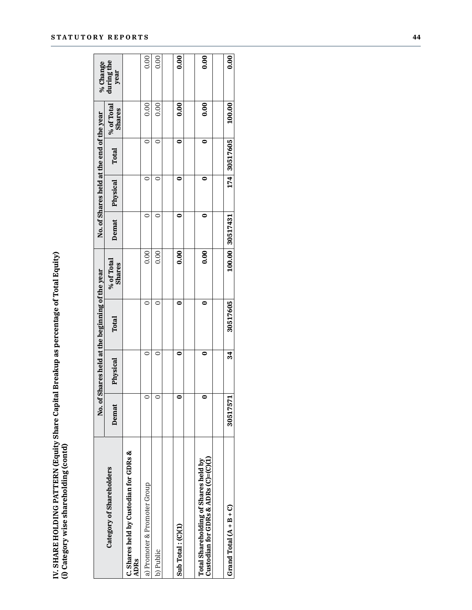| $\circ$<br>$\circ$<br>Demat<br>0.00<br>0.00<br>% of Total<br>Shares<br>No. of Shares held at the beginning of the year<br>$\circ$<br>$\circ$<br><b>Total</b><br>$\circ$<br>$\circ$<br>Physical<br>$\circ$<br>$\circ$<br>Demat<br>C. Shares held by Custodian for GDRs &<br>ADRs<br>Category of Shareholders<br>a) Promoter & Promoter Group<br>b) Public | No. of Shares held at the end of the year<br>Physical | % of Total                    |                                |
|----------------------------------------------------------------------------------------------------------------------------------------------------------------------------------------------------------------------------------------------------------------------------------------------------------------------------------------------------------|-------------------------------------------------------|-------------------------------|--------------------------------|
|                                                                                                                                                                                                                                                                                                                                                          |                                                       | <b>Shares</b><br><b>Total</b> | $\%$ Change during the<br>year |
|                                                                                                                                                                                                                                                                                                                                                          |                                                       |                               |                                |
|                                                                                                                                                                                                                                                                                                                                                          | $\circ$                                               | 0.00<br>$\circ$               | 0.00                           |
|                                                                                                                                                                                                                                                                                                                                                          | $\circ$                                               | 0.00<br>$\circ$               | 0.00                           |
|                                                                                                                                                                                                                                                                                                                                                          |                                                       |                               |                                |
| $\bullet$<br>0.00<br>$\bullet$<br>$\bullet$<br>$\bullet$<br>Sub Total: (C)(1)                                                                                                                                                                                                                                                                            | $\bullet$                                             | 0.00<br>$\bullet$             | $\overline{0.00}$              |
| $\bullet$<br>0.00<br>$\bullet$<br>$\bullet$<br>$\bullet$<br>Total Shareholding of Shares held by<br>Custodian for GDRs & ADRs (C)=(C)(1)                                                                                                                                                                                                                 | $\bullet$                                             | 0.00<br>$\bullet$             | 0.00                           |
| 174 30517605<br>100.00 30517431<br>30517605<br>34<br>30517571<br>Grand Total $(A + B + C)$                                                                                                                                                                                                                                                               |                                                       |                               |                                |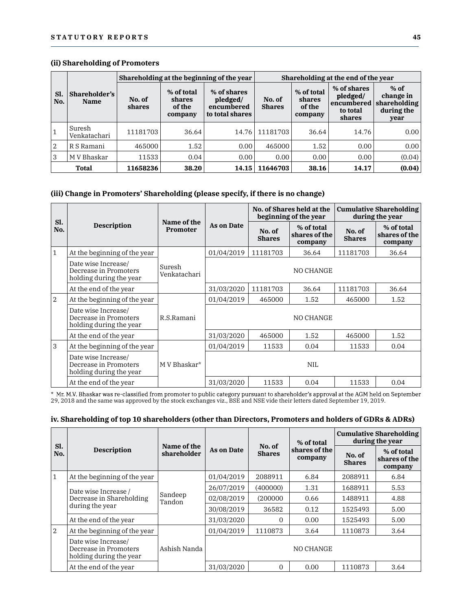### (ii) Shareholding of Promoters

|                | (ii) Shareholding of Promoters |                  |                                           | Shareholding at the beginning of the year                |                         |                                           | Shareholding at the end of the year                         |                                                           |
|----------------|--------------------------------|------------------|-------------------------------------------|----------------------------------------------------------|-------------------------|-------------------------------------------|-------------------------------------------------------------|-----------------------------------------------------------|
| Sl.<br>No.     | Shareholder's<br><b>Name</b>   | No. of<br>shares | % of total<br>shares<br>of the<br>company | % of shares<br>pledged/<br>encumbered<br>to total shares | No. of<br><b>Shares</b> | % of total<br>shares<br>of the<br>company | % of shares<br>pledged/<br>encumbered<br>to total<br>shares | $%$ of<br>change in<br>shareholding<br>during the<br>year |
|                | Suresh<br>Venkatachari         | 11181703         | 36.64                                     | 14.76                                                    | 11181703                | 36.64                                     | 14.76                                                       | 0.00                                                      |
| $\overline{2}$ | R S Ramani                     | 465000           | 1.52                                      | 0.00                                                     | 465000                  | 1.52                                      | 0.00                                                        | 0.00                                                      |
| 3              | M V Bhaskar                    | 11533            | 0.04                                      | 0.00                                                     | 0.00                    | 0.00                                      | 0.00                                                        | (0.04)                                                    |
|                | Total                          | 11658236         | 38.20                                     | 14.15                                                    | 11646703                | 38.16                                     | 14.17                                                       | (0.04)                                                    |

## (iii) Change in Promoters' Shareholding (please specify, if there is no change)

| J              | M v Bhaskar                                                                     | 11533    | 0.04                    | 0.00              | U.UU                    | U.UU I                                             | U.UU                    | (0.04)                                            |
|----------------|---------------------------------------------------------------------------------|----------|-------------------------|-------------------|-------------------------|----------------------------------------------------|-------------------------|---------------------------------------------------|
|                | Total                                                                           | 11658236 | 38.20                   | 14.15             | 11646703                | 38.16                                              | 14.17                   | (0.04)                                            |
|                | (iii) Change in Promoters' Shareholding (please specify, if there is no change) |          |                         |                   |                         |                                                    |                         |                                                   |
|                |                                                                                 |          |                         |                   |                         | No. of Shares held at the<br>beginning of the year |                         | <b>Cumulative Shareholding</b><br>during the year |
| Sl.<br>No.     | <b>Description</b>                                                              |          | Name of the<br>Promoter | <b>As on Date</b> | No. of<br><b>Shares</b> | % of total<br>shares of the<br>company             | No. of<br><b>Shares</b> | % of total<br>shares of the<br>company            |
| $\mathbf{1}$   | At the beginning of the year                                                    |          |                         | 01/04/2019        | 11181703                | 36.64                                              | 11181703                | 36.64                                             |
|                | Date wise Increase/<br>Decrease in Promoters<br>holding during the year         |          | Suresh<br>Venkatachari  |                   |                         | NO CHANGE                                          |                         |                                                   |
|                | At the end of the year                                                          |          |                         | 31/03/2020        | 11181703                | 36.64                                              | 11181703                | 36.64                                             |
| $\overline{2}$ | At the beginning of the year                                                    |          |                         | 01/04/2019        | 465000                  | 1.52                                               | 465000                  | 1.52                                              |
|                | Date wise Increase/<br>Decrease in Promoters<br>holding during the year         |          | R.S.Ramani              |                   |                         | NO CHANGE                                          |                         |                                                   |
|                | At the end of the year                                                          |          |                         | 31/03/2020        | 465000                  | 1.52                                               | 465000                  | 1.52                                              |
| $\mathbf{3}$   | At the beginning of the year                                                    |          |                         | 01/04/2019        | 11533                   | 0.04                                               | 11533                   | 0.04                                              |
|                | Date wise Increase/<br>Decrease in Promoters<br>holding during the year         |          | M V Bhaskar*            |                   |                         | <b>NIL</b>                                         |                         |                                                   |
|                | At the end of the year                                                          |          |                         | 31/03/2020        | 11533                   | 0.04                                               | 11533                   | 0.04                                              |

## iv. Shareholding of top 10 shareholders (other than Directors, Promoters and holders of GDRs & ADRs)

|              | At the end of the year                                                                                                                                                                                                                                                                                                                                                    |                            | 31/03/2020        | 11533                   | 0.04                     | 11533                   | 0.04                                              |
|--------------|---------------------------------------------------------------------------------------------------------------------------------------------------------------------------------------------------------------------------------------------------------------------------------------------------------------------------------------------------------------------------|----------------------------|-------------------|-------------------------|--------------------------|-------------------------|---------------------------------------------------|
|              | * Mr. M.V. Bhaskar was re-classified from promoter to public category pursuant to shareholder's approval at the AGM held on September<br>29, 2018 and the same was approved by the stock exchanges viz., BSE and NSE vide their letters dated September 19, 2019.<br>iv. Shareholding of top 10 shareholders (other than Directors, Promoters and holders of GDRs & ADRs) |                            |                   |                         |                          |                         |                                                   |
|              |                                                                                                                                                                                                                                                                                                                                                                           |                            |                   |                         | % of total               |                         | <b>Cumulative Shareholding</b><br>during the year |
| Sl.<br>No.   | Description                                                                                                                                                                                                                                                                                                                                                               | Name of the<br>shareholder | <b>As on Date</b> | No. of<br><b>Shares</b> | shares of the<br>company | No. of<br><b>Shares</b> | % of total<br>shares of the<br>company            |
| $\mathbf{1}$ | At the beginning of the year                                                                                                                                                                                                                                                                                                                                              |                            | 01/04/2019        | 2088911                 | 6.84                     | 2088911                 | 6.84                                              |
|              | Date wise Increase /                                                                                                                                                                                                                                                                                                                                                      |                            | 26/07/2019        | (400000)                | 1.31                     | 1688911                 | 5.53                                              |
|              | Decrease in Shareholding                                                                                                                                                                                                                                                                                                                                                  | Sandeep<br>Tandon          | 02/08/2019        | (200000)                | 0.66                     | 1488911                 | 4.88                                              |
|              | during the year                                                                                                                                                                                                                                                                                                                                                           |                            | 30/08/2019        | 36582                   | 0.12                     | 1525493                 | 5.00                                              |
|              | At the end of the year                                                                                                                                                                                                                                                                                                                                                    |                            | 31/03/2020        | $\Omega$                | 0.00                     | 1525493                 | 5.00                                              |
|              | At the beginning of the year                                                                                                                                                                                                                                                                                                                                              |                            | 01/04/2019        | 1110873                 | 3.64                     | 1110873                 | 3.64                                              |
|              | Date wise Increase/<br>Decrease in Promoters<br>holding during the year                                                                                                                                                                                                                                                                                                   | Ashish Nanda               |                   |                         | NO CHANGE                |                         |                                                   |
|              | At the end of the year                                                                                                                                                                                                                                                                                                                                                    |                            | 31/03/2020        | $\overline{0}$          | 0.00                     | 1110873                 | 3.64                                              |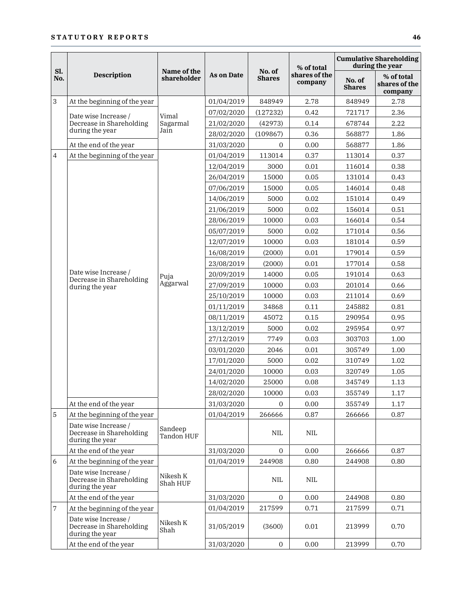|     |                                                                     |                       |                          |                |                          |                         | <b>Cumulative Shareholding</b>         |
|-----|---------------------------------------------------------------------|-----------------------|--------------------------|----------------|--------------------------|-------------------------|----------------------------------------|
| Sl. |                                                                     | Name of the           |                          | No. of         | % of total               |                         | during the year                        |
| No. | <b>Description</b>                                                  | shareholder           | <b>As on Date</b>        | <b>Shares</b>  | shares of the<br>company | No. of<br><b>Shares</b> | % of total<br>shares of the<br>company |
| 3   | At the beginning of the year                                        |                       | 01/04/2019               | 848949         | 2.78                     | 848949                  | 2.78                                   |
|     | Date wise Increase /                                                | Vimal                 | 07/02/2020               | (127232)       | 0.42                     | 721717                  | 2.36                                   |
|     | Decrease in Shareholding                                            | Sagarmal              | 21/02/2020               | (42973)        | 0.14                     | 678744                  | 2.22                                   |
|     | during the year                                                     | Jain                  | 28/02/2020               | (109867)       | 0.36                     | 568877                  | 1.86                                   |
|     | At the end of the year                                              |                       | 31/03/2020               | $\overline{0}$ | 0.00                     | 568877                  | 1.86                                   |
|     | At the beginning of the year                                        |                       | 01/04/2019               | 113014         | 0.37                     | 113014                  | 0.37                                   |
|     |                                                                     |                       | 12/04/2019               | 3000           | 0.01                     | 116014                  | 0.38                                   |
|     |                                                                     |                       | 26/04/2019               | 15000          | 0.05                     | 131014                  | 0.43                                   |
|     |                                                                     |                       | 07/06/2019               | 15000          | 0.05                     | 146014                  | 0.48                                   |
|     |                                                                     |                       | 14/06/2019               | 5000           | 0.02                     | 151014                  | 0.49                                   |
|     |                                                                     |                       | 21/06/2019               | 5000           | 0.02                     | 156014                  | 0.51                                   |
|     |                                                                     |                       | 28/06/2019               | 10000          | 0.03                     | 166014                  | 0.54                                   |
|     |                                                                     |                       | 05/07/2019               | 5000           | 0.02                     | 171014                  | 0.56                                   |
|     |                                                                     |                       | 12/07/2019               | 10000          | 0.03                     | 181014                  | 0.59                                   |
|     | Date wise Increase /                                                |                       | 16/08/2019               | (2000)         | 0.01                     | 179014                  | 0.59                                   |
|     |                                                                     |                       | 23/08/2019               | (2000)         | 0.01                     | 177014                  | 0.58                                   |
|     | Decrease in Shareholding                                            | Puja<br>Aggarwal      | 20/09/2019               | 14000          | 0.05                     | 191014                  | 0.63                                   |
|     | during the year                                                     |                       | 27/09/2019               | 10000          | 0.03                     | 201014                  | 0.66                                   |
|     |                                                                     |                       | 25/10/2019               | 10000          | 0.03                     | 211014                  | 0.69                                   |
|     |                                                                     |                       | 01/11/2019               | 34868          | 0.11                     | 245882                  | 0.81                                   |
|     |                                                                     |                       | 08/11/2019               | 45072          | 0.15                     | 290954                  | 0.95<br>0.97                           |
|     |                                                                     |                       | 13/12/2019<br>27/12/2019 | 5000<br>7749   | 0.02<br>0.03             | 295954<br>303703        | 1.00                                   |
|     |                                                                     |                       | 03/01/2020               | 2046           | $0.01\,$                 | 305749                  | 1.00                                   |
|     |                                                                     |                       | 17/01/2020               | 5000           | 0.02                     | 310749                  | 1.02                                   |
|     |                                                                     |                       | 24/01/2020               | 10000          | 0.03                     | 320749                  | 1.05                                   |
|     |                                                                     |                       | 14/02/2020               | 25000          | 0.08                     | 345749                  | 1.13                                   |
|     |                                                                     |                       | 28/02/2020               | 10000          | 0.03                     | 355749                  | 1.17                                   |
|     | At the end of the year                                              |                       | 31/03/2020               | $\overline{0}$ | 0.00                     | 355749                  | 1.17                                   |
|     | At the beginning of the year                                        |                       | 01/04/2019               | 266666         | 0.87                     | 266666                  | 0.87                                   |
|     | Date wise Increase /<br>Decrease in Shareholding<br>during the year | Sandeep<br>Tandon HUF |                          | NIL.           | NIL.                     |                         |                                        |
|     | At the end of the year                                              |                       | 31/03/2020               | $\overline{0}$ | 0.00                     | 266666                  | 0.87                                   |
|     | At the beginning of the year                                        |                       | 01/04/2019               | 244908         | 0.80                     | 244908                  | $0.80\,$                               |
|     | Date wise Increase /<br>Decrease in Shareholding<br>during the year | Nikesh K<br>Shah HUF  |                          | NIL.           | NIL.                     |                         |                                        |
|     | At the end of the year                                              |                       | 31/03/2020               | $\overline{0}$ | 0.00                     | 244908                  | 0.80                                   |
|     | At the beginning of the year                                        |                       | 01/04/2019               | 217599         | 0.71                     | 217599                  | 0.71                                   |
|     | Date wise Increase /<br>Decrease in Shareholding<br>during the year | Nikesh K<br>Shah      | 31/05/2019               | (3600)         | $0.01\,$                 | 213999                  | 0.70                                   |
|     | At the end of the year                                              |                       | 31/03/2020               | $\overline{0}$ | 0.00                     | 213999                  | 0.70                                   |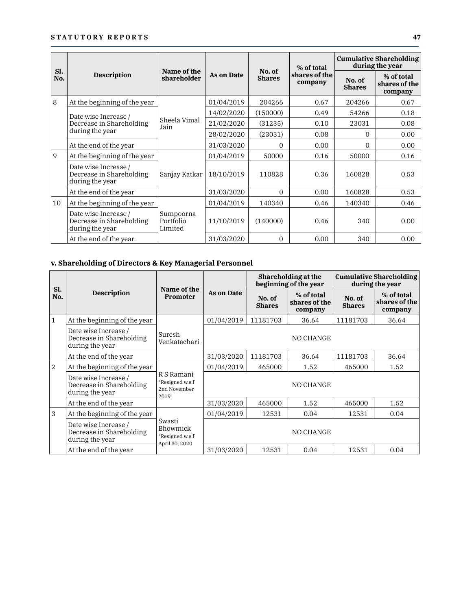|            | <b>STATUTORY REPORTS</b>                                            |                                   |                   |                         |                          |                                                    | 47                                     |
|------------|---------------------------------------------------------------------|-----------------------------------|-------------------|-------------------------|--------------------------|----------------------------------------------------|----------------------------------------|
|            |                                                                     |                                   |                   |                         | % of total               |                                                    | <b>Cumulative Shareholding</b>         |
| Sl.<br>No. | <b>Description</b>                                                  | Name of the<br>shareholder        | <b>As on Date</b> | No. of<br><b>Shares</b> | shares of the<br>company | No. of<br><b>Shares</b>                            | % of total<br>shares of the<br>company |
| 8          | At the beginning of the year                                        |                                   | 01/04/2019        | 204266                  | 0.67                     | 204266                                             | 0.67                                   |
|            | Date wise Increase /                                                |                                   | 14/02/2020        | (150000)                | 0.49                     | during the year<br>54266<br>23031<br>0<br>$\Omega$ | 0.18                                   |
|            | Decrease in Shareholding                                            | Sheela Vimal<br>Jain              | 21/02/2020        | (31235)                 | 0.10                     |                                                    | 0.08                                   |
|            | during the year                                                     |                                   | 28/02/2020        | (23031)                 | 0.08                     |                                                    | 0.00                                   |
|            | At the end of the year                                              |                                   | 31/03/2020        | $\Omega$                | 0.00                     |                                                    | 0.00                                   |
| 9          | At the beginning of the year                                        |                                   | 01/04/2019        | 50000                   | 0.16                     | 50000                                              | 0.16                                   |
|            | Date wise Increase /<br>Decrease in Shareholding<br>during the year | Sanjay Katkar                     | 18/10/2019        | 110828                  | 0.36                     | 160828                                             | 0.53                                   |
|            | At the end of the year                                              |                                   | 31/03/2020        | $\mathbf{0}$            | 0.00                     | 160828                                             | 0.53                                   |
| 10         | At the beginning of the year                                        |                                   | 01/04/2019        | 140340                  | 0.46                     | 140340                                             | 0.46                                   |
|            | Date wise Increase /<br>Decrease in Shareholding<br>during the year | Sumpoorna<br>Portfolio<br>Limited | 11/10/2019        | (140000)                | 0.46                     | 340                                                | 0.00                                   |
|            | At the end of the year                                              |                                   | 31/03/2020        | $\overline{0}$          | 0.00                     | 340                                                | 0.00                                   |

|              | during the year                                                     | Limited                                                 |            |                         |                                              |                                                                              |                                                   |  |
|--------------|---------------------------------------------------------------------|---------------------------------------------------------|------------|-------------------------|----------------------------------------------|------------------------------------------------------------------------------|---------------------------------------------------|--|
|              | At the end of the year                                              |                                                         | 31/03/2020 | $\overline{0}$          | 0.00                                         | 340                                                                          | 0.00                                              |  |
|              | v. Shareholding of Directors & Key Managerial Personnel             |                                                         |            |                         |                                              |                                                                              |                                                   |  |
|              |                                                                     |                                                         |            |                         | Shareholding at the<br>beginning of the year |                                                                              | <b>Cumulative Shareholding</b><br>during the year |  |
| Sl.<br>No.   | <b>Description</b>                                                  | Name of the<br><b>Promoter</b>                          | As on Date | No. of<br><b>Shares</b> | % of total<br>shares of the<br>company       | No. of<br><b>Shares</b><br>11181703<br>11181703<br>465000<br>465000<br>12531 | % of total<br>shares of the<br>company            |  |
| $\mathbf{1}$ | At the beginning of the year                                        |                                                         | 01/04/2019 | 11181703                | 36.64                                        |                                                                              | 36.64                                             |  |
|              | Date wise Increase /<br>Decrease in Shareholding<br>during the year | Suresh<br>Venkatachari                                  |            |                         | NO CHANGE                                    |                                                                              |                                                   |  |
|              | At the end of the year                                              |                                                         | 31/03/2020 | 11181703                | 36.64                                        |                                                                              | 36.64                                             |  |
| 2            | At the beginning of the year                                        |                                                         | 01/04/2019 | 465000                  | 1.52                                         |                                                                              | 1.52                                              |  |
|              | Date wise Increase /<br>Decrease in Shareholding<br>during the year | R S Ramani<br>*Resigned w.e.f<br>2nd November<br>2019   |            |                         | NO CHANGE                                    |                                                                              |                                                   |  |
|              | At the end of the vear                                              |                                                         | 31/03/2020 | 465000                  | 1.52                                         |                                                                              | 1.52                                              |  |
| 3            | At the beginning of the year                                        |                                                         | 01/04/2019 | 12531                   | 0.04                                         |                                                                              | 0.04                                              |  |
|              | Date wise Increase /<br>Decrease in Shareholding<br>during the year | Swasti<br>Bhowmick<br>*Resigned w.e.f<br>April 30, 2020 |            |                         | NO CHANGE                                    |                                                                              |                                                   |  |
|              | At the end of the year                                              |                                                         | 31/03/2020 | 12531                   | 0.04                                         | 12531                                                                        | 0.04                                              |  |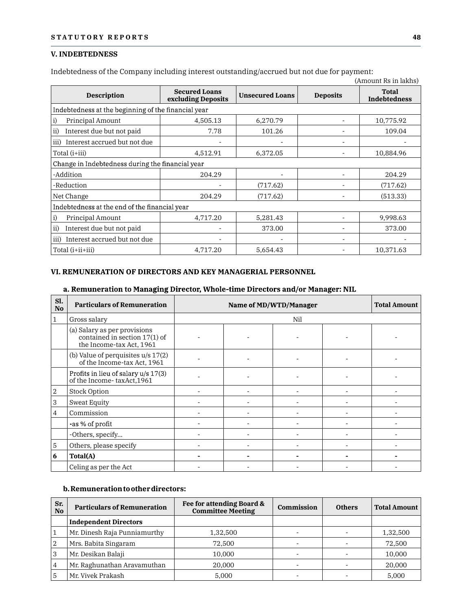### V. INDEBTEDNESS

| <b>STATUTORY REPORTS</b>                                                                    |                                            |                        |                          | 48                           |
|---------------------------------------------------------------------------------------------|--------------------------------------------|------------------------|--------------------------|------------------------------|
| <b>V. INDEBTEDNESS</b>                                                                      |                                            |                        |                          |                              |
| Indebtedness of the Company including interest outstanding/accrued but not due for payment: |                                            |                        |                          | (Amount Rs in lakhs)         |
| <b>Description</b>                                                                          | <b>Secured Loans</b><br>excluding Deposits | <b>Unsecured Loans</b> | <b>Deposits</b>          | <b>Total</b><br>Indebtedness |
| Indebtedness at the beginning of the financial year                                         |                                            |                        |                          |                              |
| Principal Amount<br>i)                                                                      | 4,505.13                                   | 6,270.79               | $\overline{\phantom{a}}$ | 10,775.92                    |
| Interest due but not paid<br>$\mathbf{ii}$                                                  | 7.78                                       | 101.26                 | ٠                        | 109.04                       |
| iii) Interest accrued but not due                                                           |                                            |                        | ÷                        |                              |
| Total (i+iii)                                                                               | 4,512.91                                   | 6,372.05               | $\overline{\phantom{a}}$ | 10,884.96                    |
| Change in Indebtedness during the financial year                                            |                                            |                        |                          |                              |
| -Addition                                                                                   | 204.29                                     |                        | ٠                        | 204.29                       |
| -Reduction                                                                                  |                                            | (717.62)               |                          | (717.62)                     |
| Net Change                                                                                  | 204.29                                     | (717.62)               |                          | (513.33)                     |
| Indebtedness at the end of the financial year                                               |                                            |                        |                          |                              |
| Principal Amount<br>i)                                                                      | 4,717.20                                   | 5,281.43               | ÷.                       | 9,998.63                     |
| Interest due but not paid<br>ii)                                                            |                                            | 373.00                 |                          | 373.00                       |
| iii) Interest accrued but not due                                                           |                                            |                        | $\overline{\phantom{a}}$ |                              |
| Total (i+ii+iii)                                                                            | 4,717.20                                   | 5,654.43               | $\overline{\phantom{a}}$ | 10,371.63                    |

| ii)                           | Interest due but not paid                                                                                                                    |                          |                                                       | 373.00                       |                          | 373.00                   |
|-------------------------------|----------------------------------------------------------------------------------------------------------------------------------------------|--------------------------|-------------------------------------------------------|------------------------------|--------------------------|--------------------------|
|                               | iii) Interest accrued but not due                                                                                                            |                          |                                                       |                              |                          |                          |
|                               | Total (i+ii+iii)                                                                                                                             | 4,717.20                 | 5,654.43                                              |                              | $\overline{\phantom{a}}$ | 10,371.63                |
|                               | VI. REMUNERATION OF DIRECTORS AND KEY MANAGERIAL PERSONNEL<br>a. Remuneration to Managing Director, Whole-time Directors and/or Manager: NIL |                          |                                                       |                              |                          |                          |
| Sl.<br>$\mathbf{N}\mathbf{o}$ | <b>Particulars of Remuneration</b>                                                                                                           |                          |                                                       | Name of MD/WTD/Manager       |                          | <b>Total Amount</b>      |
| $\mathbf{1}$                  | Gross salary                                                                                                                                 |                          |                                                       | Nil                          |                          |                          |
|                               | (a) Salary as per provisions<br>contained in section $17(1)$ of<br>the Income-tax Act, 1961                                                  |                          |                                                       |                              |                          |                          |
|                               | (b) Value of perquisites $u/s$ 17(2)<br>of the Income-tax Act, 1961                                                                          |                          |                                                       |                              |                          |                          |
|                               | Profits in lieu of salary u/s 17(3)<br>of the Income-taxAct, 1961                                                                            |                          |                                                       |                              |                          |                          |
| $\overline{2}$                | <b>Stock Option</b>                                                                                                                          | $\sim$                   | $\sim$                                                | ÷.                           | $\overline{\phantom{a}}$ | $\sim$                   |
| 3                             | <b>Sweat Equity</b>                                                                                                                          |                          |                                                       |                              |                          |                          |
| $\overline{4}$                | Commission                                                                                                                                   |                          |                                                       |                              |                          |                          |
|                               | -as % of profit                                                                                                                              | $\overline{\phantom{a}}$ |                                                       | $\overline{\phantom{a}}$     | $\overline{a}$           |                          |
|                               | -Others, specify                                                                                                                             | ÷.                       | $\overline{\phantom{a}}$                              | $\overline{\phantom{a}}$     |                          |                          |
| $\overline{5}$                | Others, please specify                                                                                                                       | $\blacksquare$           | $\sim$                                                | $\overline{\phantom{a}}$     | ÷,                       | $\overline{\phantom{a}}$ |
| $6\phantom{1}$                | Total(A)                                                                                                                                     |                          |                                                       | $\qquad \qquad \blacksquare$ |                          |                          |
|                               | Celing as per the Act                                                                                                                        |                          |                                                       |                              |                          |                          |
|                               | b. Remuneration to other directors:                                                                                                          |                          |                                                       |                              |                          |                          |
| Sr.<br><b>No</b>              | <b>Particulars of Remuneration</b>                                                                                                           |                          | Fee for attending Board &<br><b>Committee Meeting</b> | Commission                   | <b>Others</b>            | <b>Total Amount</b>      |
|                               | <b>Independent Directors</b>                                                                                                                 |                          |                                                       |                              |                          |                          |
| $\mathbf{1}$                  | Mr Dinesh Raja Punniamurthy                                                                                                                  |                          | 1 32 500                                              |                              |                          | 1 32 500                 |

### b. Remuneration to other directors:

|                       | ------,-p----,                      |          |                                                       |                          |                              |                          |
|-----------------------|-------------------------------------|----------|-------------------------------------------------------|--------------------------|------------------------------|--------------------------|
| 5                     | Others, please specify              |          |                                                       | ۰                        | ۰                            |                          |
| 6                     | Total(A)                            |          | $\overline{\phantom{0}}$                              | $\overline{\phantom{0}}$ | $\qquad \qquad \blacksquare$ |                          |
|                       | Celing as per the Act               |          | $\overline{\phantom{0}}$                              | $\overline{\phantom{0}}$ | $\overline{\phantom{0}}$     | $\overline{\phantom{a}}$ |
|                       | b. Remuneration to other directors: |          |                                                       |                          |                              |                          |
| Sr.<br>N <sub>0</sub> | <b>Particulars of Remuneration</b>  |          | Fee for attending Board &<br><b>Committee Meeting</b> | Commission               | <b>Others</b>                | <b>Total Amount</b>      |
|                       | <b>Independent Directors</b>        |          |                                                       |                          |                              |                          |
| $\mathbf{1}$          | Mr. Dinesh Raja Punniamurthy        | 1,32,500 |                                                       | $\overline{\phantom{a}}$ | $\overline{\phantom{a}}$     | 1,32,500                 |
| $\overline{2}$        | Mrs. Babita Singaram                | 72,500   |                                                       | $\overline{\phantom{a}}$ |                              | 72,500                   |
| 3                     | Mr. Desikan Balaji                  | 10,000   |                                                       | $\overline{\phantom{0}}$ | $\overline{\phantom{0}}$     | 10,000                   |
| 4                     | Mr. Raghunathan Aravamuthan         | 20,000   |                                                       | $\overline{\phantom{a}}$ | $\overline{\phantom{a}}$     | 20,000                   |
|                       | Mr. Vivek Prakash                   |          | 5,000                                                 | $\overline{\phantom{a}}$ | ٠                            | 5,000                    |